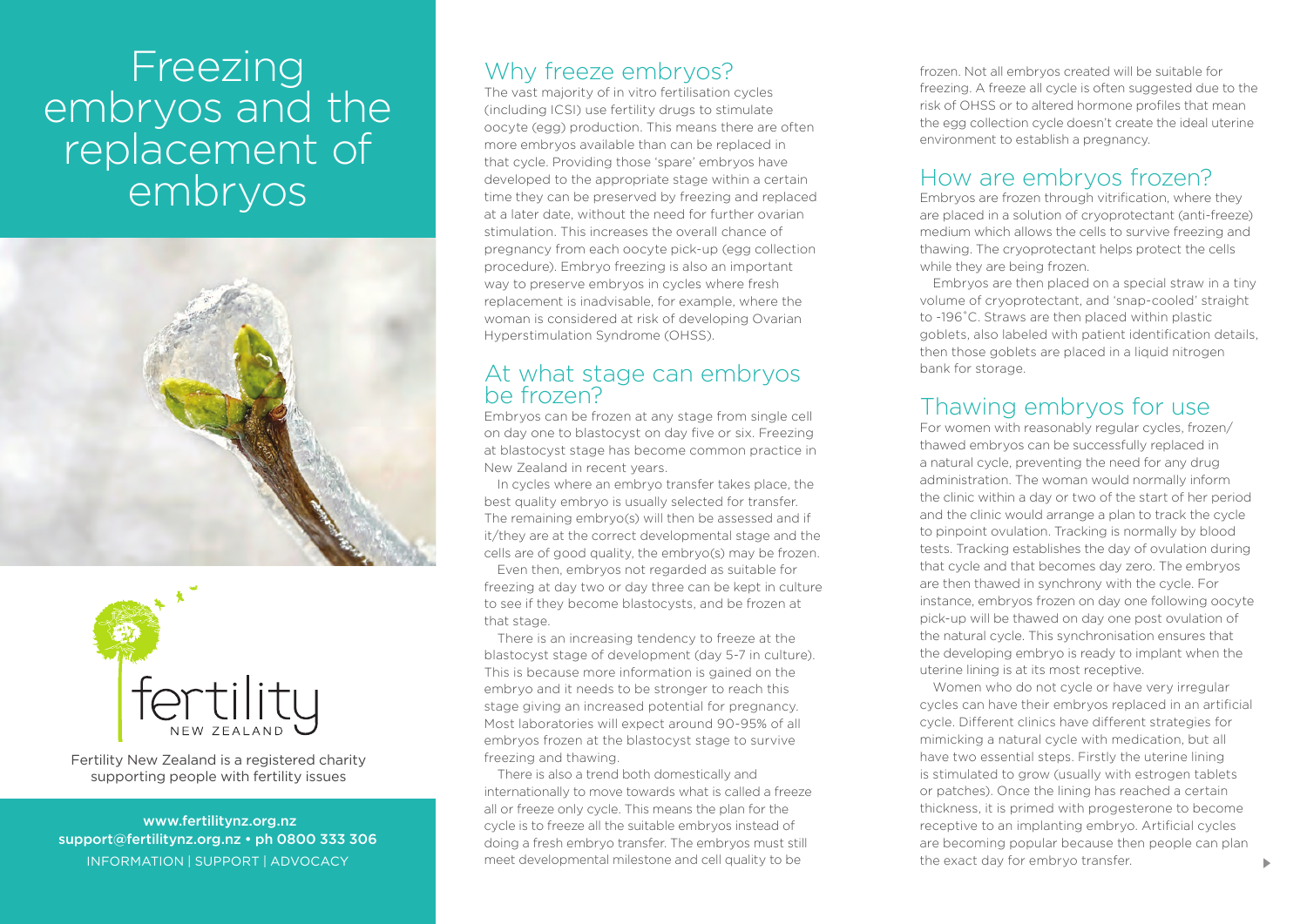# Freezing embryos and the replacement of embryos





Fertility New Zealand is a registered charity supporting people with fertility issues

 www.fertilitynz.org.nz support@fertilitynz.org.nz • ph 0800 333 306

## Why freeze embryos?

The vast majority of in vitro fertilisation cycles (including ICSI) use fertility drugs to stimulate oocyte (egg) production. This means there are often more embryos available than can be replaced in that cycle. Providing those 'spare' embryos have developed to the appropriate stage within a certain time they can be preserved by freezing and replaced at a later date, without the need for further ovarian stimulation. This increases the overall chance of pregnancy from each oocyte pick-up (egg collection procedure). Embryo freezing is also an important way to preserve embryos in cycles where fresh replacement is inadvisable, for example, where the woman is considered at risk of developing Ovarian Hyperstimulation Syndrome (OHSS).

### At what stage can embryos be frozen?

Embryos can be frozen at any stage from single cell on day one to blastocyst on day five or six. Freezing at blastocyst stage has become common practice in New Zealand in recent years.

In cycles where an embryo transfer takes place, the best quality embryo is usually selected for transfer. The remaining embryo(s) will then be assessed and if it/they are at the correct developmental stage and the cells are of good quality, the embryo(s) may be frozen.

Even then, embryos not regarded as suitable for freezing at day two or day three can be kept in culture to see if they become blastocysts, and be frozen at that stage.

There is an increasing tendency to freeze at the blastocyst stage of development (day 5-7 in culture). This is because more information is gained on the embryo and it needs to be stronger to reach this stage giving an increased potential for pregnancy. Most laboratories will expect around 90-95% of all embryos frozen at the blastocyst stage to survive freezing and thawing.

INFORMATION | SUPPORT | ADVOCACY **30 Meet developmental milestone and cell quality to be** the exact day for embryo transfer. There is also a trend both domestically and internationally to move towards what is called a freeze all or freeze only cycle. This means the plan for the cycle is to freeze all the suitable embryos instead of doing a fresh embryo transfer. The embryos must still

frozen. Not all embryos created will be suitable for freezing. A freeze all cycle is often suggested due to the risk of OHSS or to altered hormone profiles that mean the egg collection cycle doesn't create the ideal uterine environment to establish a pregnancy.

## How are embryos frozen?

Embryos are frozen through vitrification, where they are placed in a solution of cryoprotectant (anti-freeze) medium which allows the cells to survive freezing and thawing. The cryoprotectant helps protect the cells while they are being frozen.

Embryos are then placed on a special straw in a tiny volume of cryoprotectant, and 'snap-cooled' straight to -196˚C. Straws are then placed within plastic goblets, also labeled with patient identification details, then those goblets are placed in a liquid nitrogen bank for storage.

## Thawing embryos for use

For women with reasonably regular cycles, frozen/ thawed embryos can be successfully replaced in a natural cycle, preventing the need for any drug administration. The woman would normally inform the clinic within a day or two of the start of her period and the clinic would arrange a plan to track the cycle to pinpoint ovulation. Tracking is normally by blood tests. Tracking establishes the day of ovulation during that cycle and that becomes day zero. The embryos are then thawed in synchrony with the cycle. For instance, embryos frozen on day one following oocyte pick-up will be thawed on day one post ovulation of the natural cycle. This synchronisation ensures that the developing embryo is ready to implant when the uterine lining is at its most receptive.

Women who do not cycle or have very irregular cycles can have their embryos replaced in an artificial cycle. Different clinics have different strategies for mimicking a natural cycle with medication, but all have two essential steps. Firstly the uterine lining is stimulated to grow (usually with estrogen tablets or patches). Once the lining has reached a certain thickness, it is primed with progesterone to become receptive to an implanting embryo. Artificial cycles are becoming popular because then people can plan the exact day for embryo transfer.